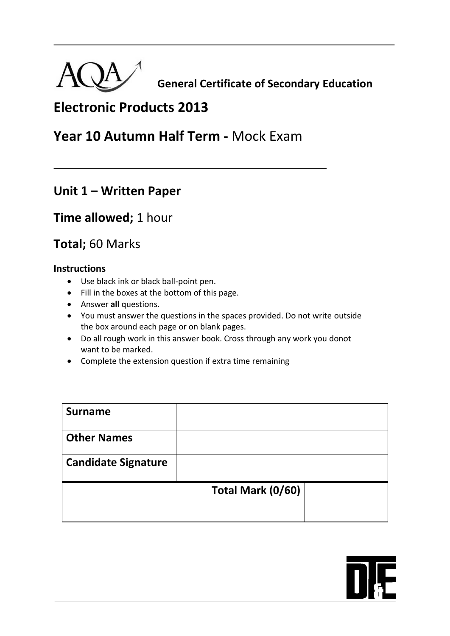

 **General Certificate of Secondary Education**

# **Electronic Products 2013**

## **Year 10 Autumn Half Term -** Mock Exam

### **Unit 1 – Written Paper**

### **Time allowed;** 1 hour

## **Total;** 60 Marks

### **Instructions**

- Use black ink or black ball-point pen.
- Fill in the boxes at the bottom of this page.
- Answer **all** questions.
- You must answer the questions in the spaces provided. Do not write outside the box around each page or on blank pages.
- Do all rough work in this answer book. Cross through any work you donot want to be marked.
- Complete the extension question if extra time remaining

| <b>Surname</b>             |                   |  |
|----------------------------|-------------------|--|
| <b>Other Names</b>         |                   |  |
| <b>Candidate Signature</b> |                   |  |
|                            | Total Mark (0/60) |  |

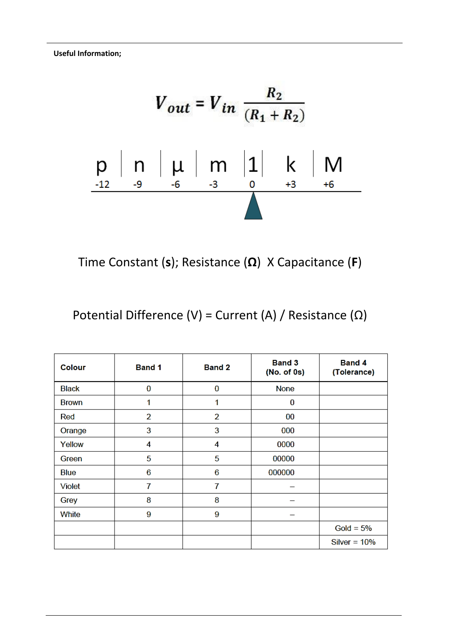**Useful Information;** 

$$
V_{out} = V_{in} \frac{R_2}{(R_1 + R_2)}
$$
  
\np\n
$$
p \mid n \mid \mu \mid m \mid 1 \mid k \mid M
$$
  
\n
$$
I_{12} = 9 \t 6 \t 3 \t 0 \t 3 \t 10 \t 13 \t 16
$$

Time Constant (**s**); Resistance (**Ω**) X Capacitance (**F**)

Potential Difference (V) = Current (A) / Resistance (Ω)

| Colour       | <b>Band 1</b>  | <b>Band 2</b>  | <b>Band 3</b><br>(No. of 0s) | <b>Band 4</b><br>(Tolerance) |
|--------------|----------------|----------------|------------------------------|------------------------------|
| <b>Black</b> | 0              | $\bf{0}$       | None                         |                              |
| <b>Brown</b> | 1              | 1              | 0                            |                              |
| Red          | $\overline{2}$ | $\overline{2}$ | 00                           |                              |
| Orange       | 3              | 3              | 000                          |                              |
| Yellow       | 4              | 4              | 0000                         |                              |
| Green        | 5              | 5              | 00000                        |                              |
| Blue         | 6              | 6              | 000000                       |                              |
| Violet       | 7              | 7              |                              |                              |
| Grey         | 8              | 8              |                              |                              |
| White        | 9              | 9              |                              |                              |
|              |                |                |                              | Gold = $5%$                  |
|              |                |                |                              | Silver = $10\%$              |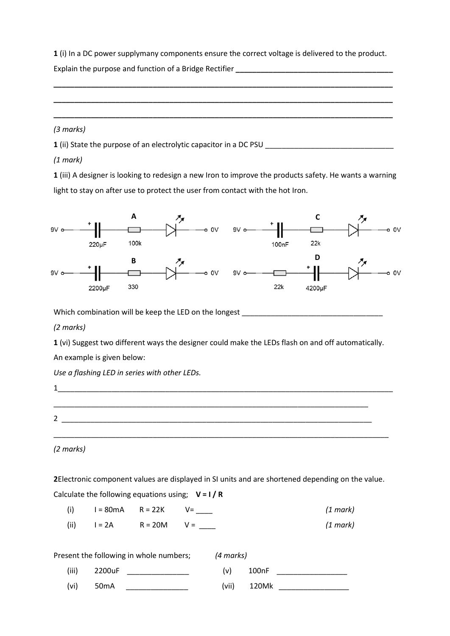**1** (i) In a DC power supplymany components ensure the correct voltage is delivered to the product.

Explain the purpose and function of a Bridge Rectifier **\_\_\_\_\_\_\_\_\_\_\_\_\_\_\_\_\_\_\_\_\_\_\_\_\_\_\_\_\_\_\_\_\_\_\_\_\_\_ \_\_\_\_\_\_\_\_\_\_\_\_\_\_\_\_\_\_\_\_\_\_\_\_\_\_\_\_\_\_\_\_\_\_\_\_\_\_\_\_\_\_\_\_\_\_\_\_\_\_\_\_\_\_\_\_\_\_\_\_\_\_\_\_\_\_\_\_\_\_\_\_\_\_\_\_\_\_\_\_\_\_ \_\_\_\_\_\_\_\_\_\_\_\_\_\_\_\_\_\_\_\_\_\_\_\_\_\_\_\_\_\_\_\_\_\_\_\_\_\_\_\_\_\_\_\_\_\_\_\_\_\_\_\_\_\_\_\_\_\_\_\_\_\_\_\_\_\_\_\_\_\_\_\_\_\_\_\_\_\_\_\_\_\_ \_\_\_\_\_\_\_\_\_\_\_\_\_\_\_\_\_\_\_\_\_\_\_\_\_\_\_\_\_\_\_\_\_\_\_\_\_\_\_\_\_\_\_\_\_\_\_\_\_\_\_\_\_\_\_\_\_\_\_\_\_\_\_\_\_\_\_\_\_\_\_\_\_\_\_\_\_\_\_\_\_\_** *(3 marks)*

**1** (ii) State the purpose of an electrolytic capacitor in a DC PSU

#### *(1 mark)*

**1** (iii) A designer is looking to redesign a new Iron to improve the products safety. He wants a warning light to stay on after use to protect the user from contact with the hot Iron.



Which combination will be keep the LED on the longest \_\_\_\_\_\_\_\_\_\_\_\_\_\_\_\_\_\_\_\_\_\_\_\_\_\_

#### *(2 marks)*

**1** (vi) Suggest two different ways the designer could make the LEDs flash on and off automatically.

An example is given below:

*Use a flashing LED in series with other LEDs.*

1\_\_\_\_\_\_\_\_\_\_\_\_\_\_\_\_\_\_\_\_\_\_\_\_\_\_\_\_\_\_\_\_\_\_\_\_\_\_\_\_\_\_\_\_\_\_\_\_\_\_\_\_\_\_\_\_\_\_\_\_\_\_\_\_\_\_\_\_\_\_\_\_\_\_\_\_\_\_\_\_\_ \_\_\_\_\_\_\_\_\_\_\_\_\_\_\_\_\_\_\_\_\_\_\_\_\_\_\_\_\_\_\_\_\_\_\_\_\_\_\_\_\_\_\_\_\_\_\_\_\_\_\_\_\_\_\_\_\_\_\_\_\_\_\_\_\_\_\_\_\_\_\_\_\_\_\_\_  $2 \quad$ 

\_\_\_\_\_\_\_\_\_\_\_\_\_\_\_\_\_\_\_\_\_\_\_\_\_\_\_\_\_\_\_\_\_\_\_\_\_\_\_\_\_\_\_\_\_\_\_\_\_\_\_\_\_\_\_\_\_\_\_\_\_\_\_\_\_\_\_\_\_\_\_\_\_\_\_\_\_\_\_\_\_

#### *(2 marks)*

**2**Electronic component values are displayed in SI units and are shortened depending on the value. Calculate the following equations using; **V = I / R**

| (i)  | $I = 80mA$ $R = 22K$ $V =$ |  | $(1 \text{ mark})$ |
|------|----------------------------|--|--------------------|
| (ii) | $I = 2A$ R = 20M V =       |  | (1 mark)           |

|       | Present the following in whole numbers; | (4 marks) |       |
|-------|-----------------------------------------|-----------|-------|
| (iii) | 2200uF                                  | (v)       | 100nF |
| (vi)  | 50 <sub>m</sub> A                       | (vii)     | 120Mk |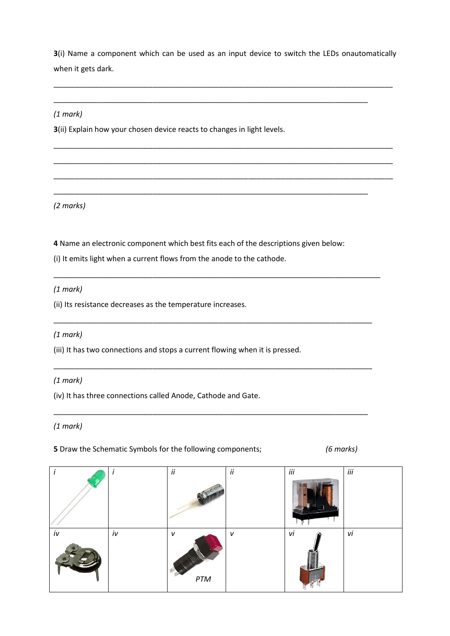**3**(i) Name a component which can be used as an input device to switch the LEDs onautomatically when it gets dark.

\_\_\_\_\_\_\_\_\_\_\_\_\_\_\_\_\_\_\_\_\_\_\_\_\_\_\_\_\_\_\_\_\_\_\_\_\_\_\_\_\_\_\_\_\_\_\_\_\_\_\_\_\_\_\_\_\_\_\_\_\_\_\_\_\_\_\_\_\_\_\_\_\_\_\_\_\_\_\_\_\_\_

\_\_\_\_\_\_\_\_\_\_\_\_\_\_\_\_\_\_\_\_\_\_\_\_\_\_\_\_\_\_\_\_\_\_\_\_\_\_\_\_\_\_\_\_\_\_\_\_\_\_\_\_\_\_\_\_\_\_\_\_\_\_\_\_\_\_\_\_\_\_\_\_\_\_\_\_\_\_\_\_\_\_

\_\_\_\_\_\_\_\_\_\_\_\_\_\_\_\_\_\_\_\_\_\_\_\_\_\_\_\_\_\_\_\_\_\_\_\_\_\_\_\_\_\_\_\_\_\_\_\_\_\_\_\_\_\_\_\_\_\_\_\_\_\_\_\_\_\_\_\_\_\_\_\_\_\_\_\_\_\_\_\_\_\_

\_\_\_\_\_\_\_\_\_\_\_\_\_\_\_\_\_\_\_\_\_\_\_\_\_\_\_\_\_\_\_\_\_\_\_\_\_\_\_\_\_\_\_\_\_\_\_\_\_\_\_\_\_\_\_\_\_\_\_\_\_\_\_\_\_\_\_\_\_\_\_\_\_\_\_\_\_\_\_\_\_\_

\_\_\_\_\_\_\_\_\_\_\_\_\_\_\_\_\_\_\_\_\_\_\_\_\_\_\_\_\_\_\_\_\_\_\_\_\_\_\_\_\_\_\_\_\_\_\_\_\_\_\_\_\_\_\_\_\_\_\_\_\_\_\_\_\_\_\_\_\_\_\_\_\_\_\_\_

\_\_\_\_\_\_\_\_\_\_\_\_\_\_\_\_\_\_\_\_\_\_\_\_\_\_\_\_\_\_\_\_\_\_\_\_\_\_\_\_\_\_\_\_\_\_\_\_\_\_\_\_\_\_\_\_\_\_\_\_\_\_\_\_\_\_\_\_\_\_\_\_\_\_\_\_\_\_\_

\_\_\_\_\_\_\_\_\_\_\_\_\_\_\_\_\_\_\_\_\_\_\_\_\_\_\_\_\_\_\_\_\_\_\_\_\_\_\_\_\_\_\_\_\_\_\_\_\_\_\_\_\_\_\_\_\_\_\_\_\_\_\_\_\_\_\_\_\_\_\_\_\_\_\_\_\_

\_\_\_\_\_\_\_\_\_\_\_\_\_\_\_\_\_\_\_\_\_\_\_\_\_\_\_\_\_\_\_\_\_\_\_\_\_\_\_\_\_\_\_\_\_\_\_\_\_\_\_\_\_\_\_\_\_\_\_\_\_\_\_\_\_\_\_\_\_\_\_\_\_\_\_\_\_

\_\_\_\_\_\_\_\_\_\_\_\_\_\_\_\_\_\_\_\_\_\_\_\_\_\_\_\_\_\_\_\_\_\_\_\_\_\_\_\_\_\_\_\_\_\_\_\_\_\_\_\_\_\_\_\_\_\_\_\_\_\_\_\_\_\_\_\_\_\_\_\_\_\_\_\_

\_\_\_\_\_\_\_\_\_\_\_\_\_\_\_\_\_\_\_\_\_\_\_\_\_\_\_\_\_\_\_\_\_\_\_\_\_\_\_\_\_\_\_\_\_\_\_\_\_\_\_\_\_\_\_\_\_\_\_\_\_\_\_\_\_\_\_\_\_\_\_\_\_\_\_\_

#### *(1 mark)*

**3**(ii) Explain how your chosen device reacts to changes in light levels.

*(2 marks)*

**4** Name an electronic component which best fits each of the descriptions given below:

(i) It emits light when a current flows from the anode to the cathode.

*(1 mark)*

(ii) Its resistance decreases as the temperature increases.

#### *(1 mark)*

(iii) It has two connections and stops a current flowing when it is pressed.

#### *(1 mark)*

(iv) It has three connections called Anode, Cathode and Gate.

*(1 mark)*

**5** Draw the Schematic Symbols for the following components; *(6 marks)*

|    |    | ii               | ii | iii | iii |
|----|----|------------------|----|-----|-----|
|    |    |                  |    |     |     |
| iv | iv | v<br>$\cal{PT}M$ | V  | vi  | vi  |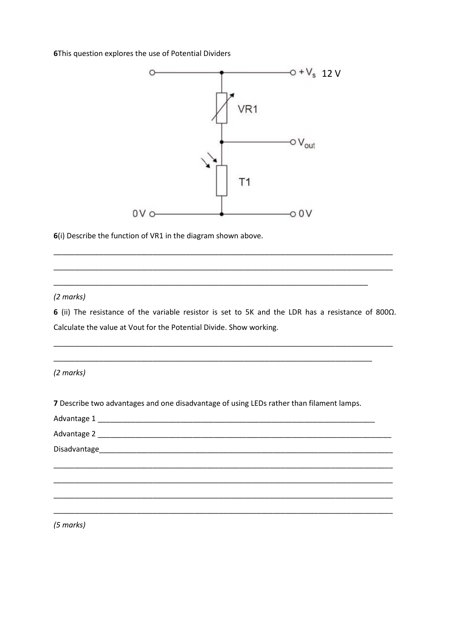6This question explores the use of Potential Dividers



6(i) Describe the function of VR1 in the diagram shown above.

#### (2 marks)

6 (ii) The resistance of the variable resistor is set to 5K and the LDR has a resistance of 800 $\Omega$ . Calculate the value at Vout for the Potential Divide. Show working.

(2 marks)

7 Describe two advantages and one disadvantage of using LEDs rather than filament lamps.

| $(5 \text{ marks})$ |
|---------------------|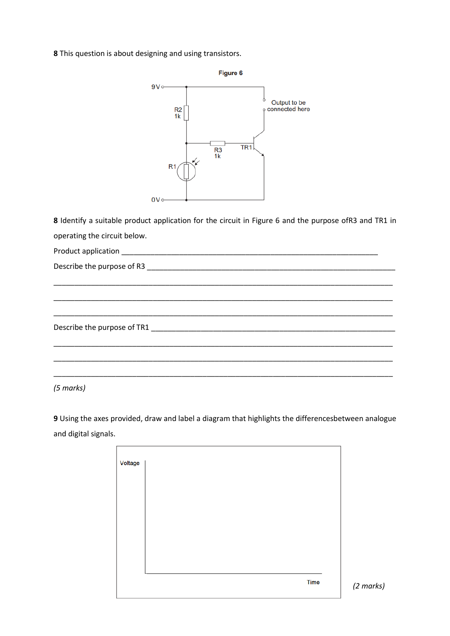**8** This question is about designing and using transistors.



**8** Identify a suitable product application for the circuit in Figure 6 and the purpose ofR3 and TR1 in operating the circuit below.

\_\_\_\_\_\_\_\_\_\_\_\_\_\_\_\_\_\_\_\_\_\_\_\_\_\_\_\_\_\_\_\_\_\_\_\_\_\_\_\_\_\_\_\_\_\_\_\_\_\_\_\_\_\_\_\_\_\_\_\_\_\_\_\_\_\_\_\_\_\_\_\_\_\_\_\_\_\_\_\_\_\_

\_\_\_\_\_\_\_\_\_\_\_\_\_\_\_\_\_\_\_\_\_\_\_\_\_\_\_\_\_\_\_\_\_\_\_\_\_\_\_\_\_\_\_\_\_\_\_\_\_\_\_\_\_\_\_\_\_\_\_\_\_\_\_\_\_\_\_\_\_\_\_\_\_\_\_\_\_\_\_\_\_\_

\_\_\_\_\_\_\_\_\_\_\_\_\_\_\_\_\_\_\_\_\_\_\_\_\_\_\_\_\_\_\_\_\_\_\_\_\_\_\_\_\_\_\_\_\_\_\_\_\_\_\_\_\_\_\_\_\_\_\_\_\_\_\_\_\_\_\_\_\_\_\_\_\_\_\_\_\_\_\_\_\_\_

\_\_\_\_\_\_\_\_\_\_\_\_\_\_\_\_\_\_\_\_\_\_\_\_\_\_\_\_\_\_\_\_\_\_\_\_\_\_\_\_\_\_\_\_\_\_\_\_\_\_\_\_\_\_\_\_\_\_\_\_\_\_\_\_\_\_\_\_\_\_\_\_\_\_\_\_\_\_\_\_\_\_

\_\_\_\_\_\_\_\_\_\_\_\_\_\_\_\_\_\_\_\_\_\_\_\_\_\_\_\_\_\_\_\_\_\_\_\_\_\_\_\_\_\_\_\_\_\_\_\_\_\_\_\_\_\_\_\_\_\_\_\_\_\_\_\_\_\_\_\_\_\_\_\_\_\_\_\_\_\_\_\_\_\_

\_\_\_\_\_\_\_\_\_\_\_\_\_\_\_\_\_\_\_\_\_\_\_\_\_\_\_\_\_\_\_\_\_\_\_\_\_\_\_\_\_\_\_\_\_\_\_\_\_\_\_\_\_\_\_\_\_\_\_\_\_\_\_\_\_\_\_\_\_\_\_\_\_\_\_\_\_\_\_\_\_\_

Product application \_\_\_\_\_\_\_\_\_\_\_\_\_\_\_\_\_\_\_\_\_\_\_\_\_\_\_\_\_\_\_\_\_\_\_\_\_\_\_\_\_\_\_\_\_\_\_\_\_\_\_\_\_\_\_\_\_\_\_\_\_\_

Describe the purpose of R3 \_\_\_\_\_\_\_\_\_\_\_\_\_\_\_\_\_\_\_\_\_\_\_\_\_\_\_\_\_\_\_\_\_\_\_\_\_\_\_\_\_\_\_\_\_\_\_\_\_\_\_\_\_\_\_\_\_\_\_\_

Describe the purpose of TR1

*(5 marks)*

**9** Using the axes provided, draw and label a diagram that highlights the differencesbetween analogue and digital signals.

| Voltage |  |      |
|---------|--|------|
|         |  |      |
|         |  |      |
|         |  |      |
|         |  |      |
|         |  |      |
|         |  |      |
|         |  |      |
|         |  |      |
|         |  | Time |
|         |  |      |

*(2 marks)*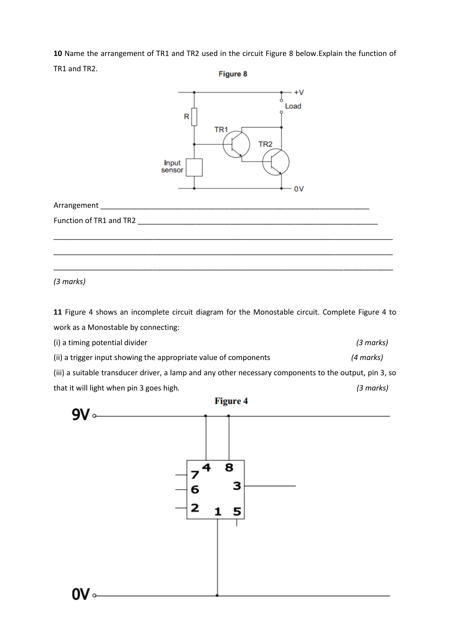**10** Name the arrangement of TR1 and TR2 used in the circuit Figure 8 below.Explain the function of

TR1 and TR2.

Figure 8



*(3 marks)*

**11** Figure 4 shows an incomplete circuit diagram for the Monostable circuit. Complete Figure 4 to work as a Monostable by connecting:

(i) a timing potential divider *(3 marks)*  (ii) a trigger input showing the appropriate value of components *(4 marks)*  (iii) a suitable transducer driver, a lamp and any other necessary components to the output, pin 3, so that it will light when pin 3 goes high*. (3 marks)*



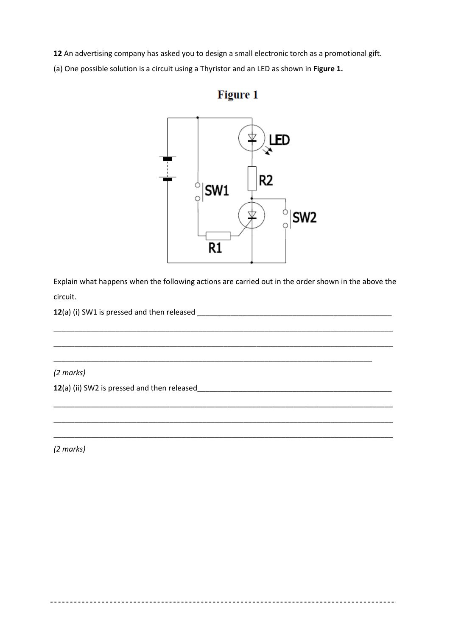**12** An advertising company has asked you to design a small electronic torch as a promotional gift.

(a) One possible solution is a circuit using a Thyristor and an LED as shown in **Figure 1.**



Explain what happens when the following actions are carried out in the order shown in the above the circuit.

\_\_\_\_\_\_\_\_\_\_\_\_\_\_\_\_\_\_\_\_\_\_\_\_\_\_\_\_\_\_\_\_\_\_\_\_\_\_\_\_\_\_\_\_\_\_\_\_\_\_\_\_\_\_\_\_\_\_\_\_\_\_\_\_\_\_\_\_\_\_\_\_\_\_\_\_\_\_\_\_\_\_

\_\_\_\_\_\_\_\_\_\_\_\_\_\_\_\_\_\_\_\_\_\_\_\_\_\_\_\_\_\_\_\_\_\_\_\_\_\_\_\_\_\_\_\_\_\_\_\_\_\_\_\_\_\_\_\_\_\_\_\_\_\_\_\_\_\_\_\_\_\_\_\_\_\_\_\_\_\_\_\_\_\_

\_\_\_\_\_\_\_\_\_\_\_\_\_\_\_\_\_\_\_\_\_\_\_\_\_\_\_\_\_\_\_\_\_\_\_\_\_\_\_\_\_\_\_\_\_\_\_\_\_\_\_\_\_\_\_\_\_\_\_\_\_\_\_\_\_\_\_\_\_\_\_\_\_\_\_\_\_\_\_\_\_\_

\_\_\_\_\_\_\_\_\_\_\_\_\_\_\_\_\_\_\_\_\_\_\_\_\_\_\_\_\_\_\_\_\_\_\_\_\_\_\_\_\_\_\_\_\_\_\_\_\_\_\_\_\_\_\_\_\_\_\_\_\_\_\_\_\_\_\_\_\_\_\_\_\_\_\_\_\_\_\_\_\_\_

\_\_\_\_\_\_\_\_\_\_\_\_\_\_\_\_\_\_\_\_\_\_\_\_\_\_\_\_\_\_\_\_\_\_\_\_\_\_\_\_\_\_\_\_\_\_\_\_\_\_\_\_\_\_\_\_\_\_\_\_\_\_\_\_\_\_\_\_\_\_\_\_\_\_\_\_\_\_\_\_\_\_

\_\_\_\_\_\_\_\_\_\_\_\_\_\_\_\_\_\_\_\_\_\_\_\_\_\_\_\_\_\_\_\_\_\_\_\_\_\_\_\_\_\_\_\_\_\_\_\_\_\_\_\_\_\_\_\_\_\_\_\_\_\_\_\_\_\_\_\_\_\_\_\_\_\_\_\_\_

**12**(a) (i) SW1 is pressed and then released \_\_\_\_\_\_\_\_\_\_\_\_\_\_\_\_\_\_\_\_\_\_\_\_\_\_\_\_\_\_\_\_\_\_\_\_\_\_\_\_\_\_\_\_\_\_\_

*(2 marks)*

**12**(a) (ii) SW2 is pressed and then released\_\_\_\_\_\_\_\_\_\_\_\_\_\_\_\_\_\_\_\_\_\_\_\_\_\_\_\_\_\_\_\_\_\_\_\_\_\_\_\_\_\_\_\_\_\_\_

*(2 marks)*

## Figure 1